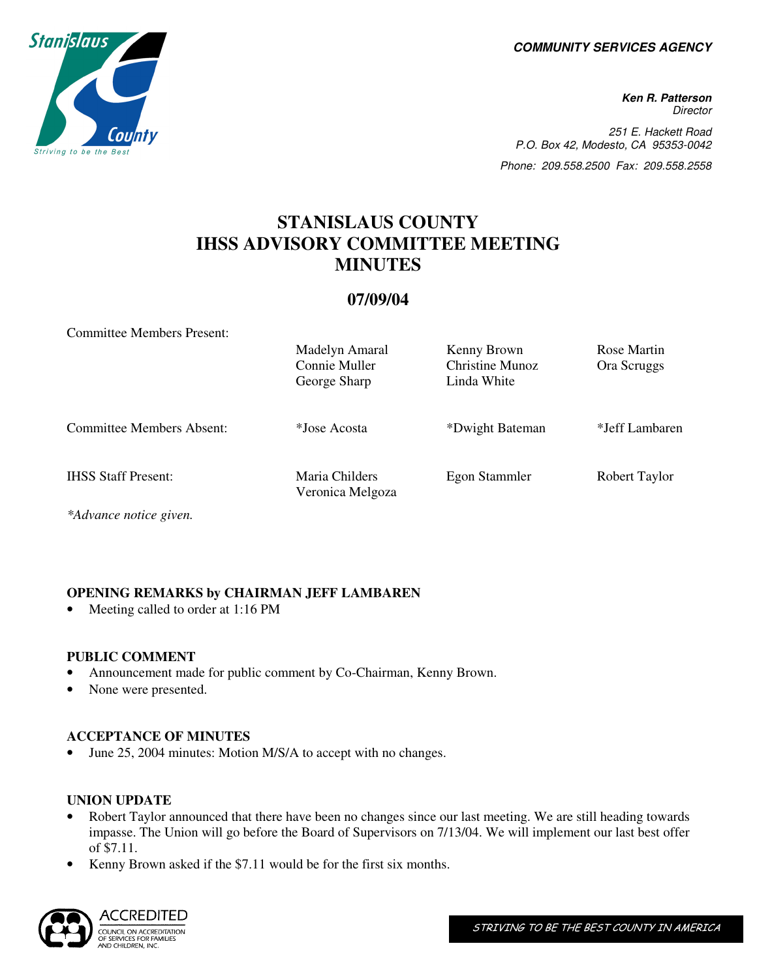**COMMUNITY SERVICES AGENCY** 

**Ken R. Patterson Director** 251 E. Hackett Road P.O. Box 42, Modesto, CA 95353-0042 Phone: 209.558.2500 Fax: 209.558.2558

# **STANISLAUS COUNTY IHSS ADVISORY COMMITTEE MEETING MINUTES**

## **07/09/04**

Committee Members Present:

|                                  | Madelyn Amaral<br>Connie Muller<br>George Sharp | Kenny Brown<br>Christine Munoz<br>Linda White | Rose Martin<br>Ora Scruggs |
|----------------------------------|-------------------------------------------------|-----------------------------------------------|----------------------------|
| <b>Committee Members Absent:</b> | *Jose Acosta                                    | *Dwight Bateman                               | *Jeff Lambaren             |
| <b>IHSS Staff Present:</b>       | Maria Childers<br>Veronica Melgoza              | Egon Stammler                                 | Robert Taylor              |

*\*Advance notice given.*

## **OPENING REMARKS by CHAIRMAN JEFF LAMBAREN**

Meeting called to order at 1:16 PM

#### **PUBLIC COMMENT**

- Announcement made for public comment by Co-Chairman, Kenny Brown.
- None were presented.

## **ACCEPTANCE OF MINUTES**

June 25, 2004 minutes: Motion M/S/A to accept with no changes.

#### **UNION UPDATE**

- Robert Taylor announced that there have been no changes since our last meeting. We are still heading towards impasse. The Union will go before the Board of Supervisors on 7/13/04. We will implement our last best offer of \$7.11.
- Kenny Brown asked if the \$7.11 would be for the first six months.



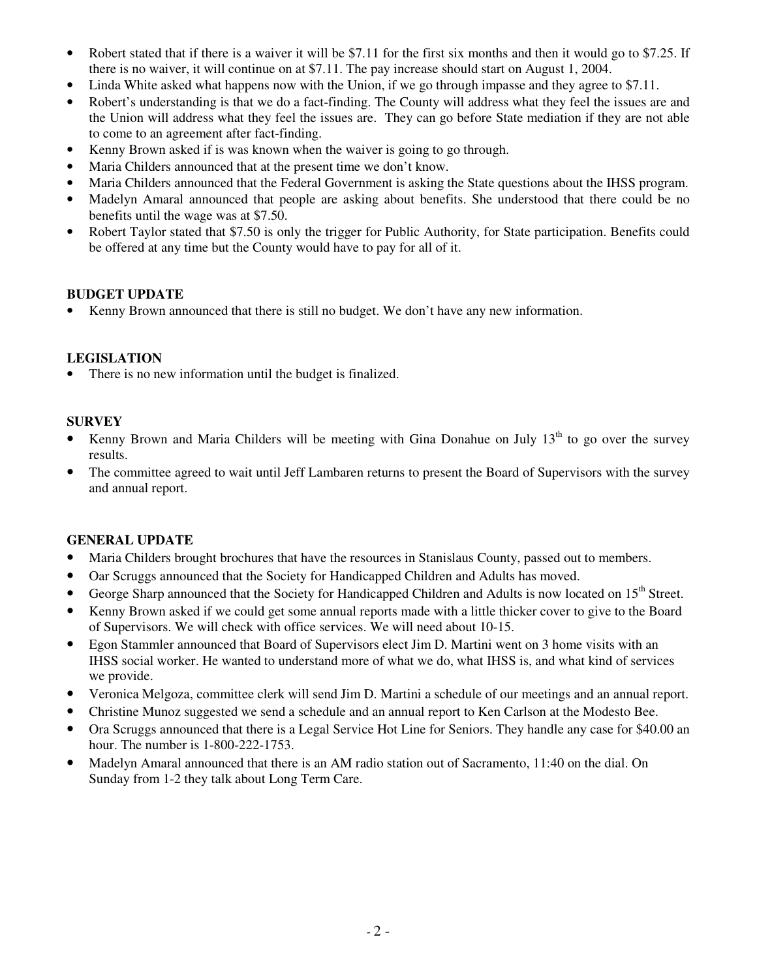- Robert stated that if there is a waiver it will be \$7.11 for the first six months and then it would go to \$7.25. If there is no waiver, it will continue on at \$7.11. The pay increase should start on August 1, 2004.
- Linda White asked what happens now with the Union, if we go through impasse and they agree to \$7.11.
- Robert's understanding is that we do a fact-finding. The County will address what they feel the issues are and the Union will address what they feel the issues are. They can go before State mediation if they are not able to come to an agreement after fact-finding.
- Kenny Brown asked if is was known when the waiver is going to go through.
- Maria Childers announced that at the present time we don't know.
- Maria Childers announced that the Federal Government is asking the State questions about the IHSS program.
- Madelyn Amaral announced that people are asking about benefits. She understood that there could be no benefits until the wage was at \$7.50.
- Robert Taylor stated that \$7.50 is only the trigger for Public Authority, for State participation. Benefits could be offered at any time but the County would have to pay for all of it.

## **BUDGET UPDATE**

• Kenny Brown announced that there is still no budget. We don't have any new information.

#### **LEGISLATION**

There is no new information until the budget is finalized.

## **SURVEY**

- Kenny Brown and Maria Childers will be meeting with Gina Donahue on July  $13<sup>th</sup>$  to go over the survey results.
- The committee agreed to wait until Jeff Lambaren returns to present the Board of Supervisors with the survey and annual report.

## **GENERAL UPDATE**

- Maria Childers brought brochures that have the resources in Stanislaus County, passed out to members.
- Oar Scruggs announced that the Society for Handicapped Children and Adults has moved.
- George Sharp announced that the Society for Handicapped Children and Adults is now located on 15<sup>th</sup> Street.
- Kenny Brown asked if we could get some annual reports made with a little thicker cover to give to the Board of Supervisors. We will check with office services. We will need about 10-15.
- Egon Stammler announced that Board of Supervisors elect Jim D. Martini went on 3 home visits with an IHSS social worker. He wanted to understand more of what we do, what IHSS is, and what kind of services we provide.
- Veronica Melgoza, committee clerk will send Jim D. Martini a schedule of our meetings and an annual report.
- Christine Munoz suggested we send a schedule and an annual report to Ken Carlson at the Modesto Bee.
- Ora Scruggs announced that there is a Legal Service Hot Line for Seniors. They handle any case for \$40.00 an hour. The number is 1-800-222-1753.
- Madelyn Amaral announced that there is an AM radio station out of Sacramento, 11:40 on the dial. On Sunday from 1-2 they talk about Long Term Care.